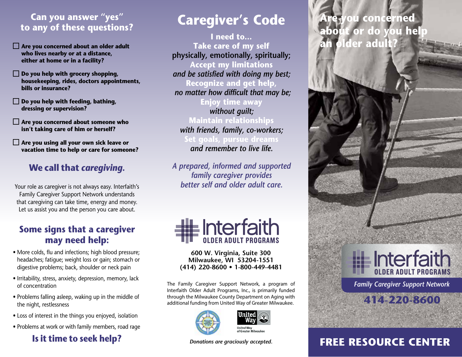### **Can you answer "yes" to any of these questions?**

- **Are you concerned about an older adult who lives nearby or at a distance, either at home or in a facility?**
- **Do you help with grocery shopping, housekeeping, rides, doctors appointments, bills or insurance?**
- **Do you help with feeding, bathing, dressing or supervision?**
- **Are you concerned about someone who isn't taking care of him or herself?**
- **Are you using all your own sick leave or vacation time to help or care for someone?**

### **We call that** *caregiving.*

Your role as caregiver is not always easy. Interfaith's Family Caregiver Support Network understands that caregiving can take time, energy and money. Let us assist you and the person you care about.

### **Some signs that a caregiver may need help:**

- More colds, flu and infections; high blood pressure; headaches; fatigue; weight loss or gain; stomach or digestive problems; back, shoulder or neck pain
- Irritability, stress, anxiety, depression, memory, lack of concentration
- Problems falling asleep, waking up in the middle of the night, restlessness
- Loss of interest in the things you enjoyed, isolation
- Problems at work or with family members, road rage

### **Is it time to seek help?**

# **Caregiver's Code**

**I need to… Take care of my self physically, emotionally, spiritually; Accept my limitations** *and be satisfied with doing my best;* **Recognize and get help,** *no matter how difficult that may be;* **Enjoy time away** *without guilt;* **Maintain relationships** *with friends, family, co-workers;* **Set goals, pursue dreams** *and remember to live life.*

*A prepared, informed and supported family caregiver provides better self and older adult care.*



**600 W. Virginia, Suite 300 Milwaukee, WI 53204-1551 (414) 220-8600 • 1-800-449-4481** 

The Family Caregiver Support Network, a program of Interfaith Older Adult Programs, Inc., is primarily funded through the Milwaukee County Department on Aging with additional funding from United Way of Greater Milwaukee.





*Donations are graciously accepted.*

# **Are you concerned about or do you help an older adult?**



*Family Caregiver Support Network*



# **FREE RESOURCE CENTER**